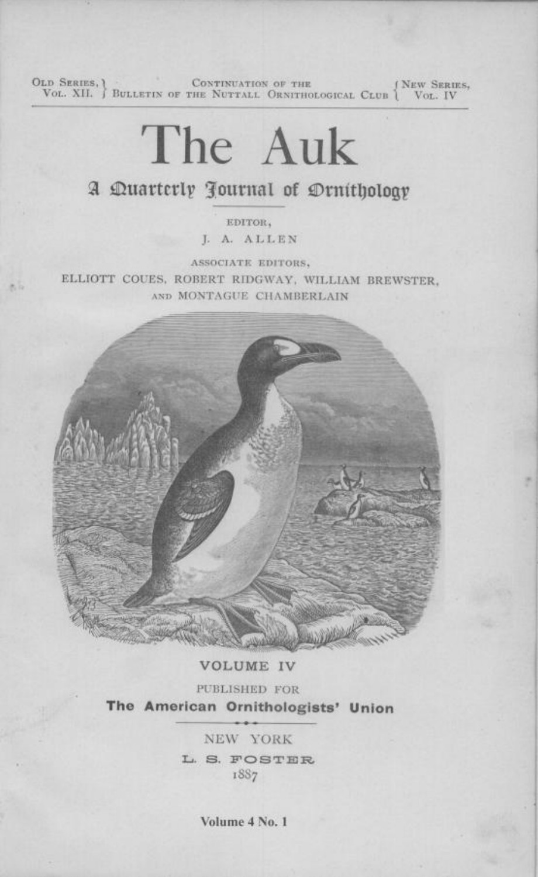OLD SERIES,  $\{\textsc{Not. XII.}\}$  BULLETIN OF THE NUTTALL ORNITHOLOGICAL CLUB  $\{\textsc{New SERIES},\ \textsc{Vol. IV}\}$ 

# The Auk

# A Quarterly Journal of Drnithology

EDITOR. J. A. ALLEN

ASSOCIATE EDITORS, ELLIOTT COUES, ROBERT RIDGWAY, WILLIAM BREWSTER, AND MONTAGUE CHAMBERLAIN

e, is



### **VOLUME IV**

PUBLISHED FOR The American Ornithologists' Union

> NEW YORK L. S. FOSTER 1887

> > Volume 4 No. 1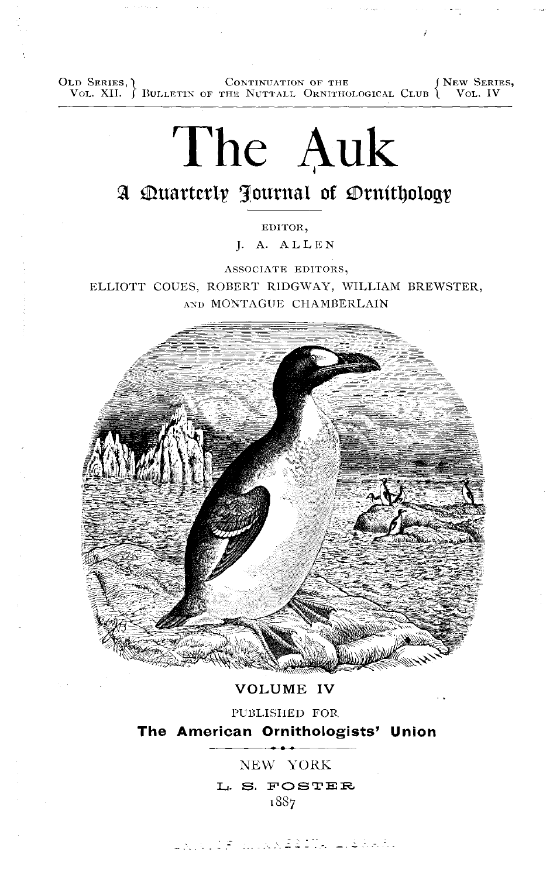**OLD SERIES, CONTINUATION OF THE VOL. XII. J BULLETIN OF THE NUTTALL ORNITHOLOGICAL CLUB <b>{ VOL. IV** 

# **The Auk**

**EDITOR•** 

**j. A. ALLEN** 

**ASSOCIATE EDITORS,** ELLIOTT COUES, ROBERT RIDGWAY, WILLIAM BREWSTER, **AND MONTAGUE CtlAMBERLAIN** 



**VOLUME IV** 

**PUBLISHED FOR The American Ornithologists' Union** 

**NEW YORK** 

L. S. FOSTER **•887**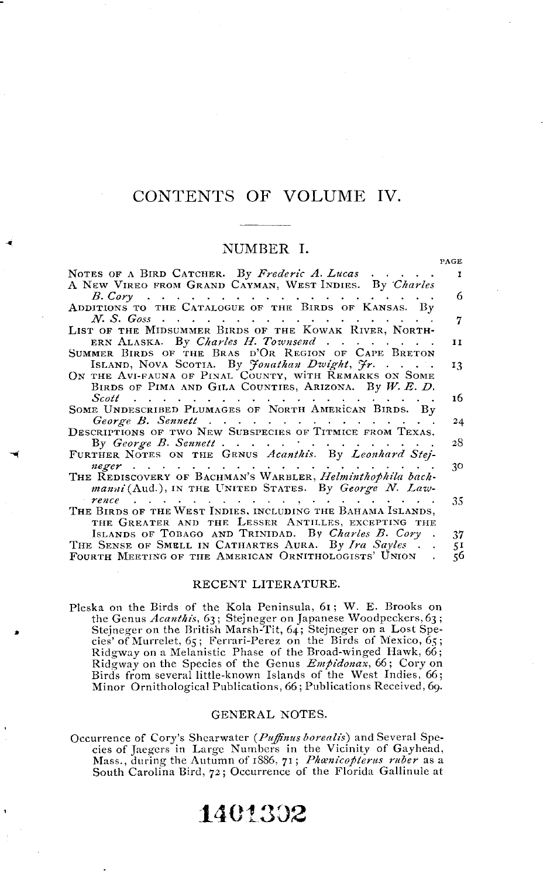### CONTENTS OF VOLUME IV.

#### NUMBER I.

PACE

| NOTES OF A BIRD CATCHER. By Frederic A. Lucas                                                                                  | $\mathbf{r}$ |
|--------------------------------------------------------------------------------------------------------------------------------|--------------|
| A NEW VIREO FROM GRAND CAYMAN, WEST INDIES. By Charles                                                                         | 6            |
| ADDITIONS TO THE CATALOGUE OF THE BIRDS OF KANSAS. By                                                                          |              |
| $N.$ S. Goss $\ldots$                                                                                                          | 7            |
| LIST OF THE MIDSUMMER BIRDS OF THE KOWAK RIVER, NORTH-                                                                         |              |
| ERN ALASKA. By Charles H. Townsend                                                                                             | 11           |
| SUMMER BIRDS OF THE BRAS D'OR REGION OF CAPE BRETON                                                                            |              |
| ISLAND, NOVA SCOTIA. By Jonathan Dwight, Fr.                                                                                   | 13           |
| ON THE AVI-FAUNA OF PINAL COUNTY, WITH REMARKS ON SOME                                                                         |              |
| BIRDS OF PIMA AND GILA COUNTIES, ARIZONA. By W. E. D.                                                                          | 16           |
| Scott is in the set of the set of the set of the set of $\mathcal{S}$<br>SOME UNDESCRIBED PLUMAGES OF NORTH AMERICAN BIRDS. By |              |
| George B. Sennett                                                                                                              | 24           |
| DESCRIPTIONS OF TWO NEW SUBSPECIES OF TITMICE FROM TEXAS.                                                                      |              |
| By George B. Sennett                                                                                                           | 28           |
| FURTHER NOTES ON THE GENUS Acanthis. By Leonhard Stej-                                                                         |              |
|                                                                                                                                | 30           |
| THE REDISCOVERY OF BACHMAN'S WARBLER, Helminthophila bach-<br>manni (Aud.), IN THE UNITED STATES. By George N. Law-            |              |
| $r$ ence $\cdots$ $\cdots$ $\cdots$ $\cdots$ $\cdots$ $\cdots$ $\cdots$ $\cdots$ $\cdots$                                      | 35           |
| THE BIRDS OF THE WEST INDIES, INCLUDING THE BAHAMA ISLANDS,                                                                    |              |
| THE GREATER AND THE LESSER ANTILLES, EXCEPTING THE                                                                             |              |
| ISLANDS OF TOBAGO AND TRINIDAD. By Charles B. Cory.                                                                            | 37           |
| THE SENSE OF SMELL IN CATHARTES AURA. By Ira Sayles                                                                            | 51           |
| FOURTH MEETING OF THE AMERICAN ORNITHOLOGISTS' UNION.                                                                          | 56           |
| ם חזמי א מסמיד ב חזרהים מו                                                                                                     |              |

#### RECENT LITERATURE.

Pleska on the Birds of the Kola Peninsula, 61; W. E. Brooks on<br>the Genus *Acanthis*, 63; Stejneger on Japanese Woodpeckers, 63;<br>Stejneger on the British Marsh-Tit, 64; Stejneger on a Lost Spe-<br>cies' of Murrelet, 65; Ferra Birds from several little-known Islands of the West Indies, 66; Minor Ornithological Publications, 66; Publications Received, 69.

#### GENERAL NOTES.

Occurrence of Cory's Shearwater (Puffinus borealis) and Several Species of Jaegers in Large Numbers in the Vicinity of Gayhead, Mass., during the Autumn of 1886, 71; Phanicopterus ruber as a South Carolina Bird, 72; Occurrence of the Florida Gallinule at

## 1401302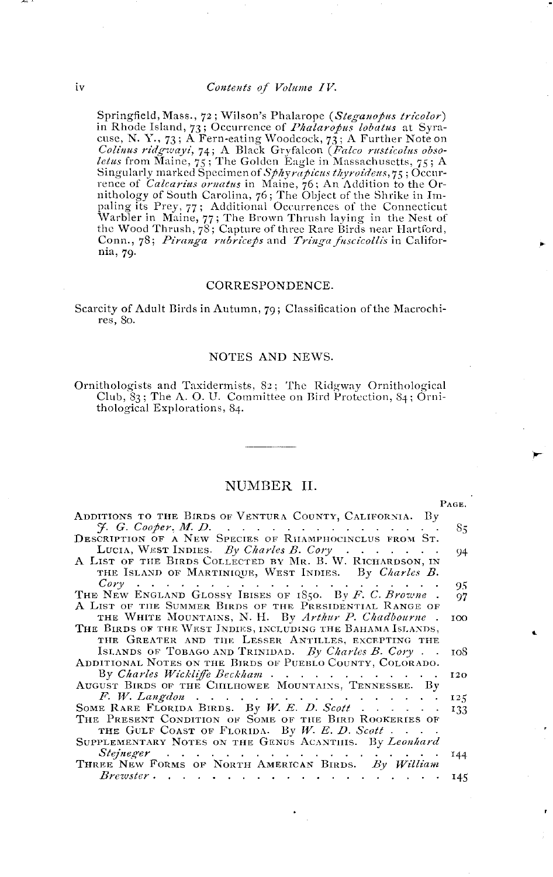Springfield, Mass., 72; Wilson's Phalarope (Steganopus tricolor) Springfield, Mass., 72; Wilson's Phalarope (Steganopus tricolor)<br>in Rhode Island, 73; Occurrence of Phalaropus lobatus at Syra-<br>cuse, N. Y., 73; A Fern-eating Woodcock, 73; A Further Note on<br>Colinus ridgroups, 74; A Black Conn., 78; Piranga rubriceps and Tringa fuscicollis in California, 79.

#### CORRESPONDENCE.

Scarcity of Adult Birds in Autumn, 79; Classification of the Macrochires, 80.

#### NOTES AND NEWS.

Ornithologists and Taxidermists, 82; The Ridgway Ornithological Club, 83; The A. O. U. Committee on Bird Protection, 84; Ornithological Explorations, 84.

#### NUMBER II.

PAGE.

| ADDITIONS TO THE BIRDS OF VENTURA COUNTY, CALIFORNIA. By                                        |         |
|-------------------------------------------------------------------------------------------------|---------|
| $\mathcal{F}$ . G. Cooper, M. D. $\ldots$ $\ldots$ $\ldots$ $\ldots$ $\ldots$ $\ldots$ $\ldots$ | 85      |
| DESCRIPTION OF A NEW SPECIES OF RIIAMPHOCINCLUS FROM ST.                                        |         |
| LUCIA, WEST INDIES. By Charles B. Cory                                                          | 94      |
| A LIST OF THE BIRDS COLLECTED BY MR. B. W. RICHARDSON, IN                                       |         |
| THE ISLAND OF MARTINIQUE, WEST INDIES. By Charles B.                                            |         |
|                                                                                                 | 95.     |
| THE NEW ENGLAND GLOSSY IBISES OF 1850. By F. C. Browne.                                         | 97      |
| A LIST OF THE SUMMER BIRDS OF THE PRESIDENTIAL RANGE OF                                         |         |
| THE WHITE MOUNTAINS, N. H. By Arthur P. Chadbourne.                                             | $100 -$ |
| THE BIRDS OF THE WEST INDIES, INCLUDING THE BAHAMA ISLANDS,                                     |         |
| THE GREATER AND THE LESSER ANTILLES, EXCEPTING THE                                              |         |
| ISLANDS OF TOBAGO AND TRINIDAD. By Charles B. Cory                                              | 108     |
| ADDITIONAL NOTES ON THE BIRDS OF PUEBLO COUNTY, COLORADO.                                       |         |
| By Charles Wickliffe Beckham                                                                    | 120     |
| AUGUST BIRDS OF THE CITLHOWEE MOUNTAINS, TENNESSEE. By                                          |         |
| F. W. Langdon                                                                                   | 125     |
| SOME RARE FLORIDA BIRDS. By W. E. D. Scott                                                      | 133     |
| THE PRESENT CONDITION OF SOME OF THE BIRD ROOKERIES OF                                          |         |
| THE GULF COAST OF FLORIDA. By W. E. D. Scott                                                    |         |
| SUPPLEMENTARY NOTES ON THE GENUS ACANTIIIS. By Leonhard                                         |         |
|                                                                                                 | 144     |
| THREE NEW FORMS OF NORTH AMERICAN BIRDS. By William                                             |         |
| $B$ rewster                                                                                     | 145     |
|                                                                                                 |         |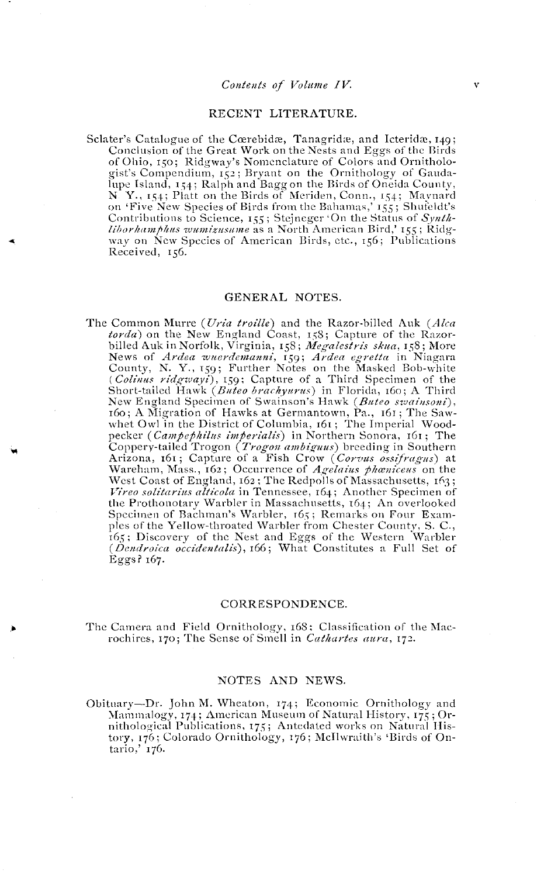#### RECENT LITERATURE.

Sclater's Catalogue of the Cœrebidæ, Tanagridæ, and Icteridæ, 149; Conclusion of the Great Work on the Nests and Eggs of the Birds of Ohio, 150; Ridgway's Nomenclature of Colors and Ornithologist's Compendium, 152; Bryant on the Ornithology of Gaudagist somponium, 1,54; Ralph and Bagg on the Birds of Oneida County,<br>N. Y., 154; Ralph and Bagg on the Birds of Oneida County,<br>N. Y., 154; Platt on the Birds of Meriden, Conn., 154; Maynard<br>on 'Five New Species of Birds fro Contributions to Science, 155; Stejneger 'On the Status of Synthliborhamphus wumizusume as a North American Bird,' 155; Ridgway on New Species of American Birds, etc., 156; Publications Received, 156.

#### GENERAL NOTES.

The Common Murre (Uria troille) and the Razor-billed Auk (Alca Common Murre (*Uria trottie*) and the reazor-office and *torda*<br> *torda*) on the New England Coast, 158; Capture of the Razor-<br>
billed Auk in Norfolk, Virginia, 158; Megalestris skua, 158; More<br>
billed Auk in Norfolk, Virg New England Specimen of Swainson's Hawk (Buteo swainsoni), 160; A Migration of Hawks at Germantown, Pa., 161; The Sawwhet Owl in the District of Columbia, 161; The Imperial Woodpecker (*Campephilus imperialis*) in Northern Sonora, 161; The Coppery-tailed Trogon (Trogon ambiguus) breeding in Southern Arizona, 161; Capture of a Fish Crow (Corvus ossifragus) at Wareham, Mass., 162; Occurrence of Agelaius phaniceus on the West Coast of England, 162; The Redpolls of Massachusetts, 163; Vireo solitarius alticola in Tennessee, 164; Another Specimen of the Prothonotary Warbler in Massachusetts, 164; An overlooked Specimen of Bachman's Warbler, 165; Remarks on Four Examples of the Yellow-throated Warbler from Chester County, S. C., 165; Discovery of the Nest and Eggs of the Western Warbler (Dendroica occidentalis), 166; What Constitutes a Full Set of Eggs? 167.

#### CORRESPONDENCE.

The Camera and Field Ornithology, 168; Classification of the Macrochires, 170; The Sense of Smell in Cathartes aura, 172.

#### NOTES AND NEWS.

Obituary-Dr. John M. Wheaton, 174; Economic Ornithology and Mammalogy, 174; American Museum of Natural History, 175; Ornithological Publications, 175; Antedated works on Natural History, 176; Colorado Ornithology, 176; McIlwraith's 'Birds of Ontario,' 176.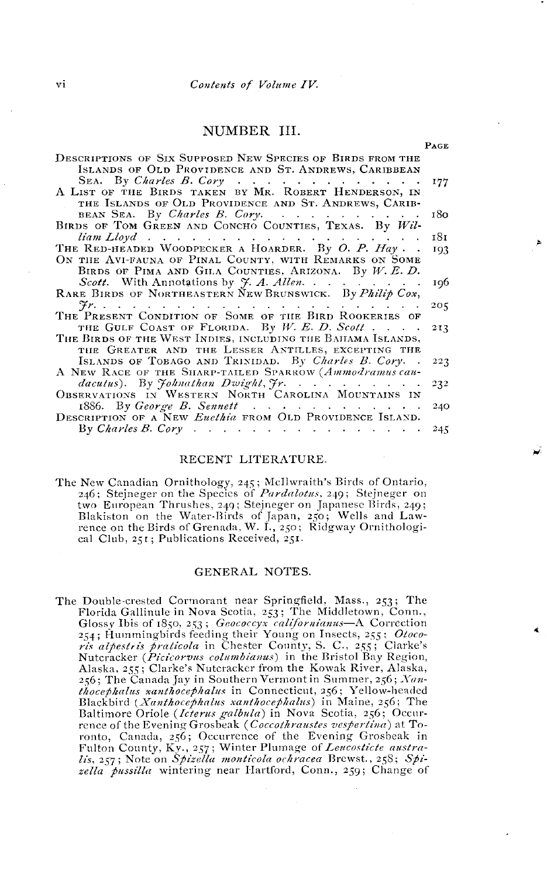#### NUMBER III.

PAGE

| DESCRIPTIONS OF SIX SUPPOSED NEW SPECIES OF BIRDS FROM THE               |     |
|--------------------------------------------------------------------------|-----|
| ISLANDS OF OLD PROVIDENCE AND ST. ANDREWS, CARIBBEAN                     |     |
| SEA. By Charles B. Cory 177                                              |     |
| A LIST OF THE BIRDS TAKEN BY MR. ROBERT HENDERSON, IN                    |     |
| THE ISLANDS OF OLD PROVIDENCE AND ST. ANDREWS, CARIB-                    |     |
| BEAN SEA. By Charles B. Cory. $\ldots$ $\ldots$ $\ldots$                 | 180 |
| BIRDS OF TOM GREEN AND CONCHO COUNTIES, TEXAS. By Wil-                   |     |
|                                                                          | 181 |
| THE RED-HEADED WOODPECKER A HOARDER. By O. P. Hay                        | 193 |
| ON THE AVI-FAUNA OF PINAL COUNTY, WITH REMARKS ON SOME                   |     |
| BIRDS OF PIMA AND GILA COUNTIES, ARIZONA. By W. E. D.                    |     |
| Scott. With Annotations by J. A. Allen.                                  | 196 |
| RARE BIRDS OF NORTHEASTERN NEW BRUNSWICK. By Philip Cox,                 |     |
|                                                                          | 205 |
| THE PRESENT CONDITION OF SOME OF THE BIRD ROOKERIES OF                   |     |
|                                                                          |     |
| THE GULF COAST OF FLORIDA. By W. E. D. Scott                             | 213 |
| THE BIRDS OF THE WEST INDIES, INCLUDING THE BAIIAMA ISLANDS,             |     |
| THE GREATER AND THE LESSER ANTILLES, EXCEPTING THE                       |     |
| ISLANDS OF TOBAGO AND TRINIDAD. By Charles B. Cory                       | 223 |
| A NEW RACE OF THE SHARP-TAILED SPARROW (Ammodramus cau-                  |     |
| dacutus). By Johnathan Dwight, Jr.                                       | 232 |
| OBSERVATIONS IN WESTERN NORTH CAROLINA MOUNTAINS IN                      |     |
| 1886. By George B. Sennett                                               | 240 |
| DESCRIPTION OF A NEW Euethia FROM OLD PROVIDENCE ISLAND.                 |     |
| By Charles B. Cory $\cdots$ $\cdots$ $\cdots$ $\cdots$ $\cdots$ $\cdots$ | 245 |
|                                                                          |     |

#### RECENT LITERATURE.

| The New Canadian Ornithology, 245; McIlwraith's Birds of Ontario,      |
|------------------------------------------------------------------------|
| 246; Steineger on the Species of <i>Pardalotus</i> , 249; Steineger on |
| two European Thrushes, 249; Stejneger on Japanese Birds, 249;          |
| Blakiston on the Water-Birds of Japan, 250; Wells and Law-             |
| rence on the Birds of Grenada, W. I., 250; Ridgway Ornithologi-        |
| cal Club, 251; Publications Received, 251.                             |

#### GENERAL NOTES.

The Double-crested Cormorant near Springfield, Mass., 253; The Florida Gallinule in Nova Scotia, 253; The Middletown, Conn., Glossy Ibis of 1850, 253; Geococcyx californianus—A Correction 254; Hummingbirds feeding their Young on Insects, 255; Otocoris althestris praticola in Chester County, S. C., 255; Clarke's<br>Nutcracker (Picicorous columbianus) in the Bristol Bay Region, Alaska, 255; Clarke's Nutcracker from the Kowak River, Alaska, 256; The Canada Jay in Southern Vermont in Summer, 256; Xan-250, The Canada July in Connecticut, 356; Yellow-headed<br>Blackbird (*Xanthocephalus in Connecticut, 356; Yellow-headed*<br>Blackbird (*Xanthocephalus santhocephalus*) in Maine, 256; The<br>Baltimore Oriole (*Icterus galbula*) in rence of the Evening Grosbeak (Coccothraustes vespertina) at Torento, Canada, 256; Occurrence of the Evening Grosbeak in<br>Fulton County, Ky., 257; Winter Plumage of Lencosticte austra-<br>lis, 257; Note on Spizella monticola ochracea Brewst., 258; Spizella pussilla wintering near Hartford, Conn., 259; Change of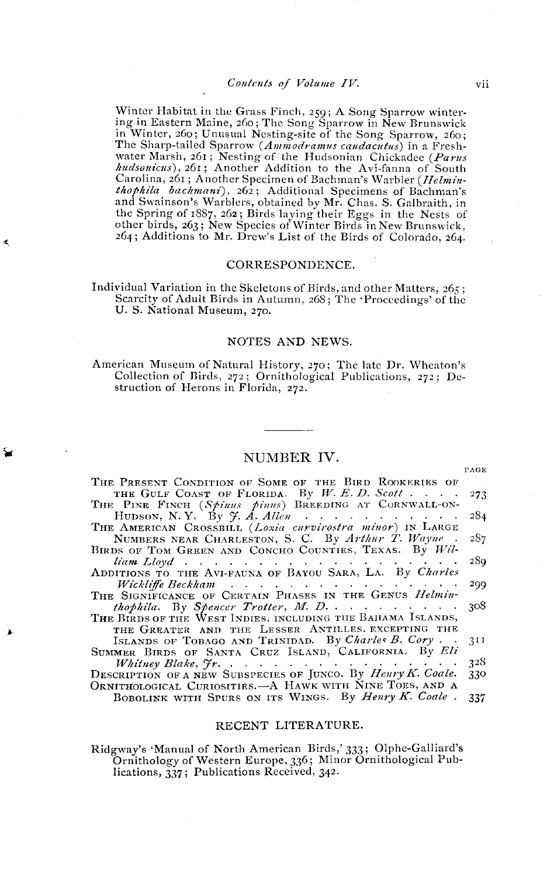**•Vinter Habitat in the Grass Finch, 259; A Song Sparrow wintering in Eastern Maine, 260; The Song Sparrow in New Brunswick in Winter, 260; Unusual Nesting-site of the Song Sparrow, 260;**  The Sharp-tailed Sparrow (*Ammodramus caudacutus*) in a Freshwater Marsh, 261; Nesting of the Hudsonian Chickadee (*Parus hudsonicus*), 261; Another Addition to the Avi-fanna of South Carolina, 261; Another Specimen of Bachman's Warbler (*Helmin***thophila bachmaai), 262; Additional Specimens of Bachman's and Swainson's Warblers, obtained by Mr. Chas. S. Galbraith, in**  the Spring of 1887, 262; Birds laying their Eggs in the Nests of other birds, 263; New Species of Winter Birds in New Brunswick, **264; Additions to Mr. Drew's List of the Birds of Colorado, 264.** 

#### **CORRESPONDENCE.**

**Individual Variation in the Skeletons of Birds, and other Matters, 265;**  Scarcity of Adult Birds in Autumn, 268; The 'Proceedings' of the **U.S. National Museum, 270.** 

4

#### **NOTES AND NEWS.**

American Museum of Natural History, 270; The late Dr. Wheaton's **Collection of Birds, 272; Ornithological Publications, 272; Destruction of Herons in Florida, 272.** 

#### **NUMBER IV.**

| The Present Condition of Some of the Bird Rookeries of                                                                                                                                                                        |       |
|-------------------------------------------------------------------------------------------------------------------------------------------------------------------------------------------------------------------------------|-------|
| THE GULF COAST OF FLORIDA. By $W. E. D.$ Scott                                                                                                                                                                                | - 273 |
| THE PINE FINCH (Spinus pinus) BREEDING AT CORNWALL-ON-                                                                                                                                                                        |       |
| HUDSON, N.Y. By $\mathcal{F}$ . A. Allen                                                                                                                                                                                      | 284   |
| THE AMERICAN CROSSBILL (Loxia curvirostra minor) IN LARGE                                                                                                                                                                     |       |
| NUMBERS NEAR CHARLESTON, S. C. By Arthur T. Wayne.                                                                                                                                                                            | 287   |
| BIRDS OF TOM GREEN AND CONCHO COUNTIES, TEXAS. By Wil-                                                                                                                                                                        |       |
| liam Lloyd responsive responsive responsive responsive responsive responsive responsive responsive responsive responsive responsive responsive responsive responsive responsive responsive responsive responsive responsive r | 289   |
| ADDITIONS TO THE AVI-FAUNA OF BAYOU SARA, LA. By Charles                                                                                                                                                                      |       |
| Wickliffe Beckham $\cdots$ $\cdots$ $\cdots$ $\cdots$ $\cdots$ $\cdots$                                                                                                                                                       | 299   |
| THE SIGNIFICANCE OF CERTAIN PHASES IN THE GENUS Helmin-                                                                                                                                                                       |       |
| <i>thophila.</i> By Spencer Trotter, M. D. 308                                                                                                                                                                                |       |
| THE BIRDS OF THE WEST INDIES, INCLUDING THE BAIIAMA ISLANDS,                                                                                                                                                                  |       |
| THE GREATER AND THE LESSER ANTILLES, EXCEPTING THE                                                                                                                                                                            |       |
| ISLANDS OF TOBAGO AND TRINIDAD. By Charles B. Cory                                                                                                                                                                            | 311   |
| SUMMER BIRDS OF SANTA CRUZ ISLAND, CALIFORNIA. By Eli                                                                                                                                                                         |       |
|                                                                                                                                                                                                                               | 328   |
| DESCRIPTION OF A NEW SUBSPECIES OF JUNCO. By Henry K. Coale.                                                                                                                                                                  | 330   |
| ORNITHOLOGICAL CURIOSITIES.—A HAWK WITH NINE TOES, AND A                                                                                                                                                                      |       |
| BOBOLINK WITH SPURS ON ITS WINGS. By Henry K. Coale.                                                                                                                                                                          | 337   |
|                                                                                                                                                                                                                               |       |

#### **RECENT LITERATURE.**

**Ridgway's 'Manual of North American Birds,' 333; Olphe-Galliard's Ornithology of Western Europe, 336; Minor Ornithological Pub**lications, 337; Publications Received, 342.

**PAGE**